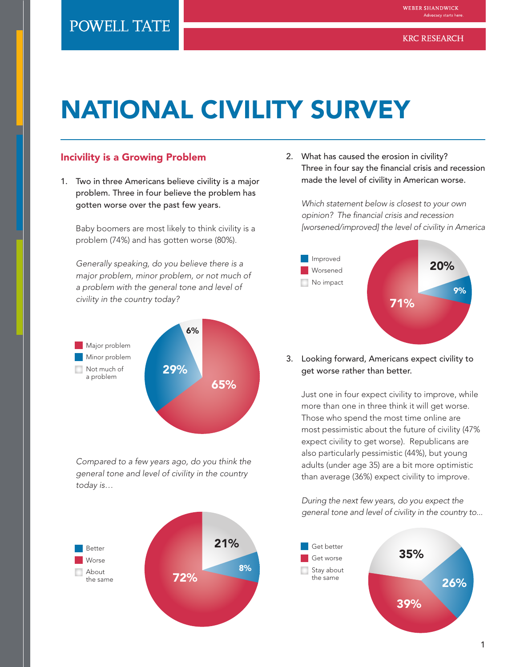# NATIONAL CIVILITY SURVEY

#### Incivility is a Growing Problem

1. Two in three Americans believe civility is a major problem. Three in four believe the problem has gotten worse over the past few years.

Baby boomers are most likely to think civility is a problem (74%) and has gotten worse (80%).

*Generally speaking, do you believe there is a major problem, minor problem, or not much of a problem with the general tone and level of civility in the country today?*



*Compared to a few years ago, do you think the general tone and level of civility in the country today is…*



2. What has caused the erosion in civility? Three in four say the financial crisis and recession made the level of civility in American worse.

*Which statement below is closest to your own opinion? The financial crisis and recession [worsened/improved] the level of civility in America*



3. Looking forward, Americans expect civility to get worse rather than better.

Just one in four expect civility to improve, while more than one in three think it will get worse. Those who spend the most time online are most pessimistic about the future of civility (47% expect civility to get worse). Republicans are also particularly pessimistic (44%), but young adults (under age 35) are a bit more optimistic than average (36%) expect civility to improve.

*During the next few years, do you expect the general tone and level of civility in the country to...*

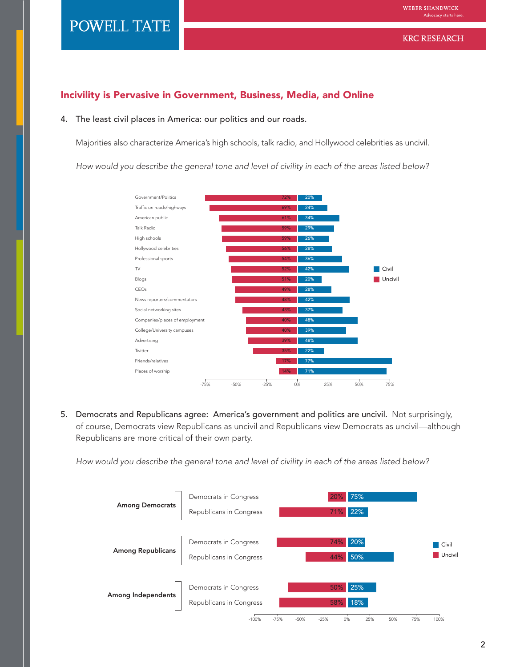#### **KRC RESEARCH**

#### Incivility is Pervasive in Government, Business, Media, and Online

#### 4. The least civil places in America: our politics and our roads.

Majorities also characterize America's high schools, talk radio, and Hollywood celebrities as uncivil.

*How would you describe the general tone and level of civility in each of the areas listed below?*



5. Democrats and Republicans agree: America's government and politics are uncivil. Not surprisingly, of course, Democrats view Republicans as uncivil and Republicans view Democrats as uncivil—although Republicans are more critical of their own party.

*How would you describe the general tone and level of civility in each of the areas listed below?* 

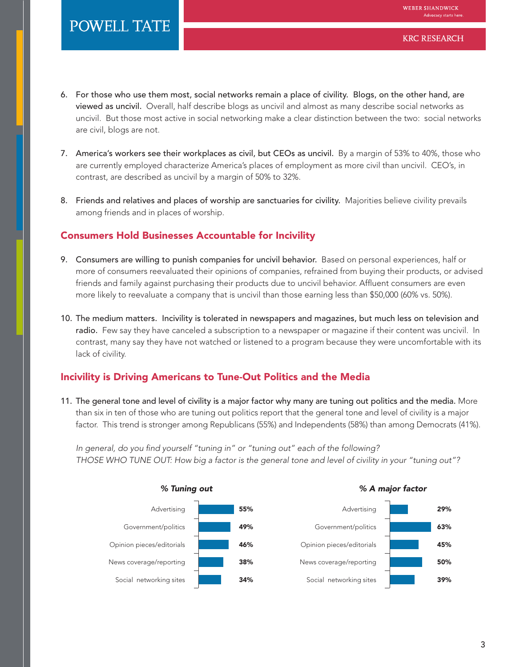- 6. For those who use them most, social networks remain a place of civility. Blogs, on the other hand, are viewed as uncivil. Overall, half describe blogs as uncivil and almost as many describe social networks as uncivil. But those most active in social networking make a clear distinction between the two: social networks are civil, blogs are not.
- 7. America's workers see their workplaces as civil, but CEOs as uncivil. By a margin of 53% to 40%, those who are currently employed characterize America's places of employment as more civil than uncivil. CEO's, in contrast, are described as uncivil by a margin of 50% to 32%.
- 8. Friends and relatives and places of worship are sanctuaries for civility. Majorities believe civility prevails among friends and in places of worship.

#### Consumers Hold Businesses Accountable for Incivility

- 9. Consumers are willing to punish companies for uncivil behavior. Based on personal experiences, half or more of consumers reevaluated their opinions of companies, refrained from buying their products, or advised friends and family against purchasing their products due to uncivil behavior. Affluent consumers are even more likely to reevaluate a company that is uncivil than those earning less than \$50,000 (60% vs. 50%).
- 10. The medium matters. Incivility is tolerated in newspapers and magazines, but much less on television and radio. Few say they have canceled a subscription to a newspaper or magazine if their content was uncivil. In contrast, many say they have not watched or listened to a program because they were uncomfortable with its lack of civility.

## Incivility is Driving Americans to Tune-Out Politics and the Media

11. The general tone and level of civility is a major factor why many are tuning out politics and the media. More than six in ten of those who are tuning out politics report that the general tone and level of civility is a major factor. This trend is stronger among Republicans (55%) and Independents (58%) than among Democrats (41%).

*In general, do you find yourself "tuning in" or "tuning out" each of the following? THOSE WHO TUNE OUT: How big a factor is the general tone and level of civility in your "tuning out"?*

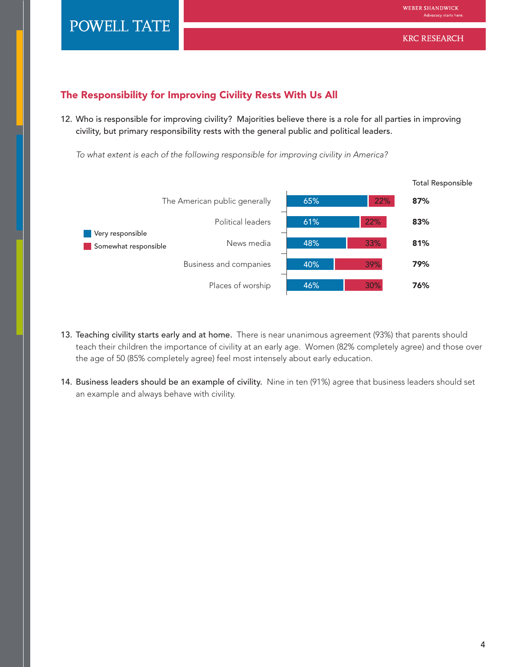## The Responsibility for Improving Civility Rests With Us All

12. Who is responsible for improving civility? Majorities believe there is a role for all parties in improving civility, but primary responsibility rests with the general public and political leaders.

*To what extent is each of the following responsible for improving civility in America?*



- 13. Teaching civility starts early and at home. There is near unanimous agreement (93%) that parents should teach their children the importance of civility at an early age. Women (82% completely agree) and those over the age of 50 (85% completely agree) feel most intensely about early education.
- 14. Business leaders should be an example of civility. Nine in ten (91%) agree that business leaders should set an example and always behave with civility.